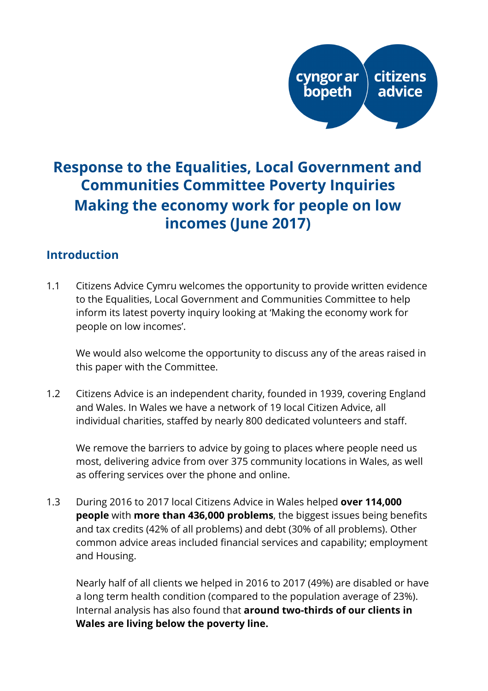# **Response to the Equalities, Local Government and Communities Committee Poverty Inquiries Making the economy work for people on low incomes (June 2017)**

### **Introduction**

1.1 Citizens Advice Cymru welcomes the opportunity to provide written evidence to the Equalities, Local Government and Communities Committee to help inform its latest poverty inquiry looking at 'Making the economy work for people on low incomes'.

We would also welcome the opportunity to discuss any of the areas raised in this paper with the Committee.

1.2 Citizens Advice is an independent charity, founded in 1939, covering England and Wales. In Wales we have a network of 19 local Citizen Advice, all individual charities, staffed by nearly 800 dedicated volunteers and staff.

We remove the barriers to advice by going to places where people need us most, delivering advice from over 375 community locations in Wales, as well as offering services over the phone and online.

1.3 During 2016 to 2017 local Citizens Advice in Wales helped **over 114,000 people** with **more than 436,000 problems**, the biggest issues being benefits and tax credits (42% of all problems) and debt (30% of all problems). Other common advice areas included financial services and capability; employment and Housing.

Nearly half of all clients we helped in 2016 to 2017 (49%) are disabled or have a long term health condition (compared to the population average of 23%). Internal analysis has also found that **around two-thirds of our clients in Wales are living below the poverty line.**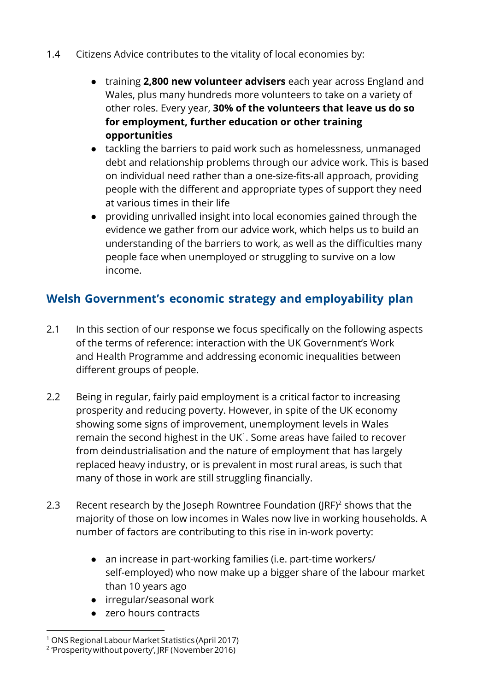- 1.4 Citizens Advice contributes to the vitality of local economies by:
	- training **2,800 new volunteer advisers** each year across England and Wales, plus many hundreds more volunteers to take on a variety of other roles. Every year, **30% of the volunteers that leave us do so for employment, further education or other training opportunities**
	- tackling the barriers to paid work such as homelessness, unmanaged debt and relationship problems through our advice work. This is based on individual need rather than a one-size-fits-all approach, providing people with the different and appropriate types of support they need at various times in their life
	- providing unrivalled insight into local economies gained through the evidence we gather from our advice work, which helps us to build an understanding of the barriers to work, as well as the difficulties many people face when unemployed or struggling to survive on a low income.

## **Welsh Government's economic strategy and employability plan**

- 2.1 In this section of our response we focus specifically on the following aspects of the terms of reference: interaction with the UK Government's Work and Health Programme and addressing economic inequalities between different groups of people.
- 2.2 Being in regular, fairly paid employment is a critical factor to increasing prosperity and reducing poverty. However, in spite of the UK economy showing some signs of improvement, unemployment levels in Wales remain the second highest in the UK<sup>1</sup>. Some areas have failed to recover from deindustrialisation and the nature of employment that has largely replaced heavy industry, or is prevalent in most rural areas, is such that many of those in work are still struggling financially.
- 2.3 Recent research by the Joseph Rowntree Foundation ( $IRF$ )<sup>2</sup> shows that the majority of those on low incomes in Wales now live in working households. A number of factors are contributing to this rise in in-work poverty:
	- an increase in part-working families (i.e. part-time workers/ self-employed) who now make up a bigger share of the labour market than 10 years ago
	- irregular/seasonal work
	- zero hours contracts

<sup>1</sup> ONS Regional Labour Market Statistics (April 2017)

<sup>2</sup> 'Prosperity without poverty', JRF (November 2016)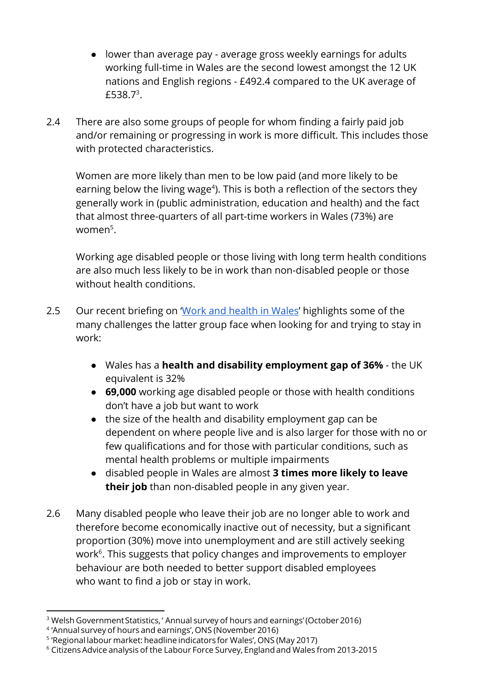- lower than average pay average gross weekly earnings for adults working full-time in Wales are the second lowest amongst the 12 UK nations and English regions - £492.4 compared to the UK average of £538.7<sup>3</sup>.
- 2.4 There are also some groups of people for whom finding a fairly paid job and/or remaining or progressing in work is more difficult. This includes those with protected characteristics.

Women are more likely than men to be low paid (and more likely to be earning below the living wage<sup>4</sup>). This is both a reflection of the sectors they generally work in (public administration, education and health) and the fact that almost three-quarters of all part-time workers in Wales (73%) are women $^5$ .

Working age disabled people or those living with long term health conditions are also much less likely to be in work than non-disabled people or those without health conditions.

- 2.5Our recent briefing on 'Work and health in Wales' highlights some of the many challenges the latter group face when looking for and trying to stay in work:
	- Wales has a **health and disability employment gap of 36%**  the UK equivalent is 32%
	- **69,000** working age disabled people or those with health conditions don't have a job but want to work
	- the size of the health and disability employment gap can be dependent on where people live and is also larger for those with no or few qualifications and for those with particular conditions, such as mental health problems or multiple impairments
	- disabled people in Wales are almost **3 times more likely to leave their job** than non-disabled people in any given year.
- 2.6 Many disabled people who leave their job are no longer able to work and therefore become economically inactive out of necessity, but a significant proportion (30%) move into unemployment and are still actively seeking work $6$ . This suggests that policy changes and improvements to employer behaviour are both needed to better support disabled employees who want to find a job or stay in work.

<sup>&</sup>lt;sup>3</sup> Welsh Government Statistics, ' Annual survey of hours and earnings' (October 2016)

<sup>4</sup> 'Annual survey of hours and earnings', ONS (November 2016)

<sup>&</sup>lt;sup>5</sup> 'Regional labour market: headline indicators for Wales', ONS (May 2017)

 $^{\rm 6}$  Citizens Advice analysis of the Labour Force Survey, England and Wales from 2013-2015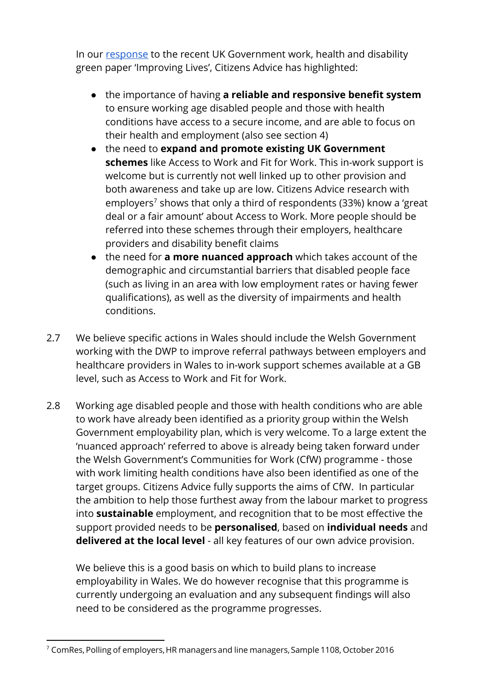In our [response](https://www.citizensadvice.org.uk/Global/CitizensAdvice/Families%20Publications/CitizensAdviceGreenPaper.pdf) to the recent UK Government work, health and disability green paper 'Improving Lives', Citizens Advice has highlighted:

- **•** the importance of having **a reliable and responsive benefit system** to ensure working age disabled people and those with health conditions have access to a secure income, and are able to focus on their health and employment (also see section 4)
- the need to **expand and promote existing UK Government schemes** like Access to Work and Fit for Work. This in-work support is welcome but is currently not well linked up to other provision and both awareness and take up are low. Citizens Advice research with employers<sup>7</sup> shows that only a third of respondents (33%) know a 'great deal or a fair amount' about Access to Work. More people should be referred into these schemes through their employers, healthcare providers and disability benefit claims
- the need for **a more nuanced approach** which takes account of the demographic and circumstantial barriers that disabled people face (such as living in an area with low employment rates or having fewer qualifications), as well as the diversity of impairments and health conditions.
- 2.7 We believe specific actions in Wales should include the Welsh Government working with the DWP to improve referral pathways between employers and healthcare providers in Wales to in-work support schemes available at a GB level, such as Access to Work and Fit for Work.
- 2.8 Working age disabled people and those with health conditions who are able to work have already been identified as a priority group within the Welsh Government employability plan, which is very welcome. To a large extent the 'nuanced approach' referred to above is already being taken forward under the Welsh Government's Communities for Work (CfW) programme - those with work limiting health conditions have also been identified as one of the target groups. Citizens Advice fully supports the aims of CfW. In particular the ambition to help those furthest away from the labour market to progress into **sustainable** employment, and recognition that to be most effective the support provided needs to be **personalised** , based on **individual needs** and **delivered at the local level** - all key features of our own advice provision.

We believe this is a good basis on which to build plans to increase employability in Wales. We do however recognise that this programme is currently undergoing an evaluation and any subsequent findings will also need to be considered as the programme progresses.

<sup>7</sup> ComRes, Polling of employers, HR managers and line managers, Sample 1108, October 2016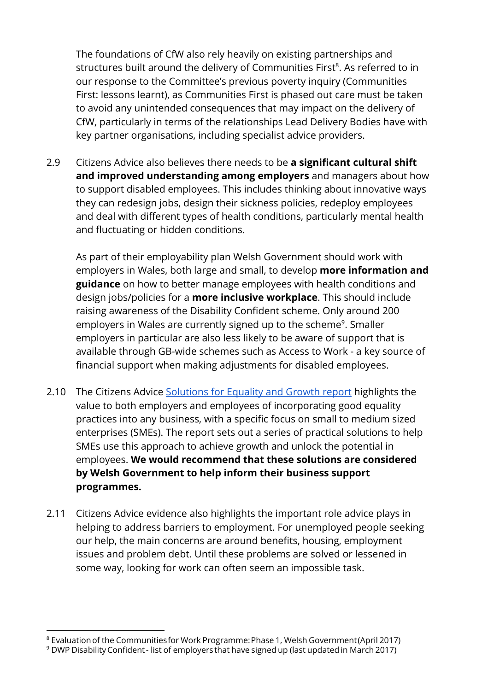The foundations of CfW also rely heavily on existing partnerships and structures built around the delivery of Communities First<sup>8</sup>. As referred to in our response to the Committee's previous poverty inquiry (Communities First: lessons learnt), as Communities First is phased out care must be taken to avoid any unintended consequences that may impact on the delivery of CfW, particularly in terms of the relationships Lead Delivery Bodies have with key partner organisations, including specialist advice providers.

2.9 Citizens Advice also believes there needs to be **a signicant cultural shift and improved understanding among employers** and managers about how to support disabled employees. This includes thinking about innovative ways they can redesign jobs, design their sickness policies, redeploy employees and deal with different types of health conditions, particularly mental health and fluctuating or hidden conditions.

As part of their employability plan Welsh Government should work with employers in Wales, both large and small, to develop **more information and guidance** on how to better manage employees with health conditions and design jobs/policies for a **more inclusive workplace** . This should include raising awareness of the Disability Confident scheme. Only around 200 employers in Wales are currently signed up to the scheme<sup>9</sup>. Smaller employers in particular are also less likely to be aware of support that is available through GB-wide schemes such as Access to Work - a key source of financial support when making adjustments for disabled employees.

- 2.10 The Citizens Advice [Solutions for Equality and Growth report](https://www.citizensadvice.org.uk/about-us/how-citizens-advice-works/who-we-are-and-what-we-do/equality-and-the-citizens-advice-service/solutions-for-equality-and-growth/solutions-for-equality-and-growth-report-recommendations/) highlights the value to both employers and employees of incorporating good equality practices into any business, with a specific focus on small to medium sized enterprises (SMEs). The report sets out a series of practical solutions to help SMEs use this approach to achieve growth and unlock the potential in employees. **We would recommend that these solutions are considered by Welsh Government to help inform their business support programmes.**
- 2.11 Citizens Advice evidence also highlights the important role advice plays in helping to address barriers to employment. For unemployed people seeking our help, the main concerns are around benefits, housing, employment issues and problem debt. Until these problems are solved or lessened in some way, looking for work can often seem an impossible task.

<sup>8</sup> Evaluation of the Communities for Work Programme: Phase 1, Welsh Government (April 2017)

 $^9$  DWP Disability Confident - list of employers that have signed up (last updated in March 2017)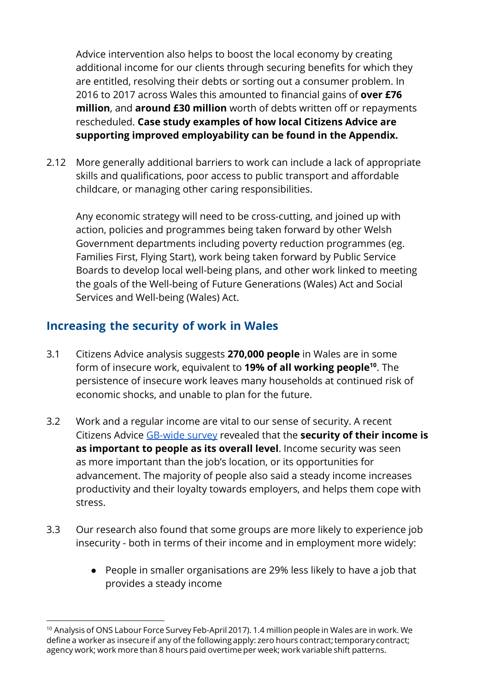Advice intervention also helps to boost the local economy by creating additional income for our clients through securing benefits for which they are entitled, resolving their debts or sorting out a consumer problem. In 2016 to 2017 across Wales this amounted to financial gains of **over £76 million**, and **around £30 million** worth of debts written off or repayments rescheduled. **Case study examples of how local Citizens Advice are supporting improved employability can be found in the Appendix.**

2.12 More generally additional barriers to work can include a lack of appropriate skills and qualifications, poor access to public transport and affordable childcare, or managing other caring responsibilities.

Any economic strategy will need to be cross-cutting, and joined up with action, policies and programmes being taken forward by other Welsh Government departments including poverty reduction programmes (eg. Families First, Flying Start), work being taken forward by Public Service Boards to develop local well-being plans, and other work linked to meeting the goals of the Well-being of Future Generations (Wales) Act and Social Services and Well-being (Wales) Act.

#### **Increasing the security of work in Wales**

- 3.1 Citizens Advice analysis suggests **270,000 people** in Wales are in some form of insecure work, equivalent to **19% of all working people**<sup>10</sup>. The persistence of insecure work leaves many households at continued risk of economic shocks, and unable to plan for the future.
- 3.2 Work and a regular income are vital to our sense of security. A recent Citizens Advice [GB-wide survey](https://www.citizensadvice.org.uk/Global/CitizensAdvice/welfare%20publications/The%20Importance%20of%20Income%20Security%20(Final).pdf) revealed that the **security of their income is as important to people as its overall level**. Income security was seen as more important than the job's location, or its opportunities for advancement. The majority of people also said a steady income increases productivity and their loyalty towards employers, and helps them cope with stress.
- 3.3 Our research also found that some groups are more likely to experience job insecurity - both in terms of their income and in employment more widely:
	- People in smaller organisations are 29% less likely to have a job that provides a steady income

 $^{\rm 10}$  Analysis of ONS Labour Force Survey Feb-April 2017). 1.4 million people in Wales are in work. We define a worker as insecure if any of the following apply: zero hours contract; temporary contract; agency work; work more than 8 hours paid overtime per week; work variable shift patterns.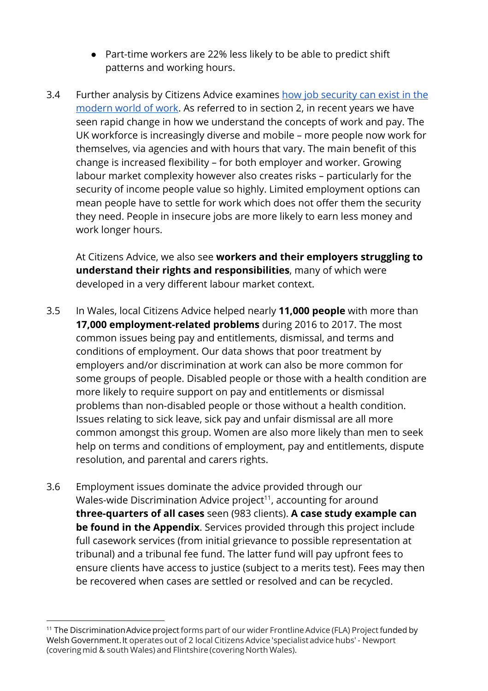- Part-time workers are 22% less likely to be able to predict shift patterns and working hours.
- 3.4 Further analysis by Citizens Advice examines [how job security can exist in the](https://www.citizensadvice.org.uk/Global/CitizensAdvice/Work%20Publications/Recommendation%20event%20handout.pdf) [modern world of work](https://www.citizensadvice.org.uk/Global/CitizensAdvice/Work%20Publications/Recommendation%20event%20handout.pdf) . As referred to in section 2, in recent years we have seen rapid change in how we understand the concepts of work and pay. The UK workforce is increasingly diverse and mobile – more people now work for themselves, via agencies and with hours that vary. The main benefit of this change is increased flexibility – for both employer and worker. Growing labour market complexity however also creates risks – particularly for the security of income people value so highly. Limited employment options can mean people have to settle for work which does not offer them the security they need. People in insecure jobs are more likely to earn less money and work longer hours.

At Citizens Advice, we also see **workers and their employers struggling to understand their rights and responsibilities**, many of which were developed in a very different labour market context.

- 3.5 In Wales, local Citizens Advice helped nearly **11,000 people** with more than **17,000 employment-related problems** during 2016 to 2017. The most common issues being pay and entitlements, dismissal, and terms and conditions of employment. Our data shows that poor treatment by employers and/or discrimination at work can also be more common for some groups of people. Disabled people or those with a health condition are more likely to require support on pay and entitlements or dismissal problems than non-disabled people or those without a health condition. Issues relating to sick leave, sick pay and unfair dismissal are all more common amongst this group. Women are also more likely than men to seek help on terms and conditions of employment, pay and entitlements, dispute resolution, and parental and carers rights.
- 3.6 Employment issues dominate the advice provided through our Wales-wide Discrimination Advice project<sup>11</sup>, accounting for around **three-quarters of all cases** seen (983 clients). **A case study example can be found in the Appendix**. Services provided through this project include full casework services (from initial grievance to possible representation at tribunal) and a tribunal fee fund. The latter fund will pay upfront fees to ensure clients have access to justice (subject to a merits test). Fees may then be recovered when cases are settled or resolved and can be recycled.

<sup>&</sup>lt;sup>11</sup> The Discrimination Advice project forms part of our wider Frontline Advice (FLA) Project funded by Welsh Government. It operates out of 2 local Citizens Advice 'specialist advice hubs' - Newport (covering mid & south Wales) and Flintshire (covering North Wales).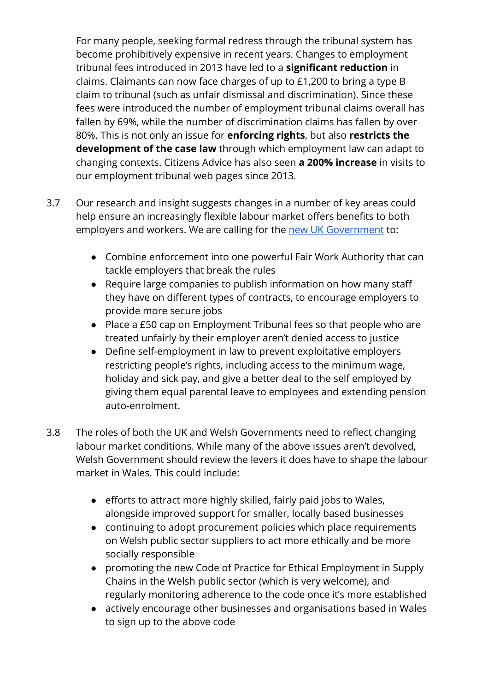For many people, seeking formal redress through the tribunal system has become prohibitively expensive in recent years. Changes to employment tribunal fees introduced in 2013 have led to a **signicant reduction** in claims. Claimants can now face charges of up to £1,200 to bring a type B claim to tribunal (such as unfair dismissal and discrimination). Since these fees were introduced the number of employment tribunal claims overall has fallen by 69%, while the number of discrimination claims has fallen by over 80%. This is not only an issue for **enforcing rights** , but also **restricts the development of the case law** through which employment law can adapt to changing contexts. Citizens Advice has also seen **a 200% increase** in visits to our employment tribunal web pages since 2013.

- 3.7 Our research and insight suggests changes in a number of key areas could help ensure an increasingly flexible labour market offers benefits to both employers and workers. We are calling for the [new UK Government](https://www.citizensadvice.org.uk/about-us/policy/policy-research-topics/our-manifesto-for-the-next-government/) to:
	- Combine enforcement into one powerful Fair Work Authority that can tackle employers that break the rules
	- Require large companies to publish information on how many staff they have on different types of contracts, to encourage employers to provide more secure jobs
	- Place a £50 cap on Employment Tribunal fees so that people who are treated unfairly by their employer aren't denied access to justice
	- Define self-employment in law to prevent exploitative employers restricting people's rights, including access to the minimum wage, holiday and sick pay, and give a better deal to the self employed by giving them equal parental leave to employees and extending pension auto-enrolment.
- 3.8 The roles of both the UK and Welsh Governments need to reflect changing labour market conditions. While many of the above issues aren't devolved, Welsh Government should review the levers it does have to shape the labour market in Wales. This could include:
	- $\bullet$  efforts to attract more highly skilled, fairly paid jobs to Wales, alongside improved support for smaller, locally based businesses
	- continuing to adopt procurement policies which place requirements on Welsh public sector suppliers to act more ethically and be more socially responsible
	- promoting the new Code of Practice for Ethical Employment in Supply Chains in the Welsh public sector (which is very welcome), and regularly monitoring adherence to the code once it's more established
	- actively encourage other businesses and organisations based in Wales to sign up to the above code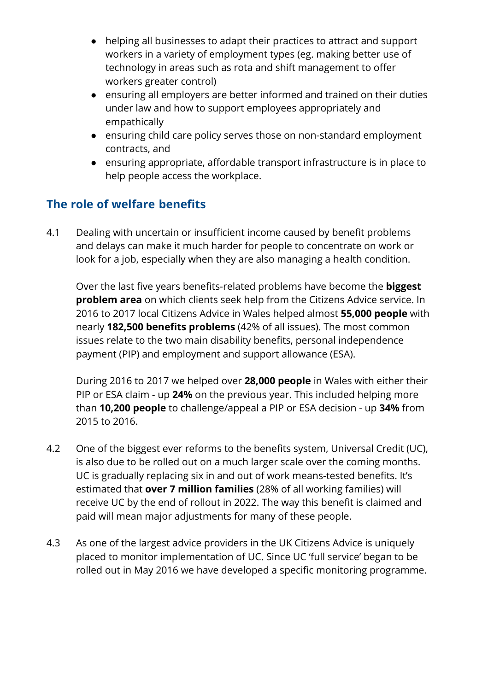- helping all businesses to adapt their practices to attract and support workers in a variety of employment types (eg. making better use of technology in areas such as rota and shift management to offer workers greater control)
- ensuring all employers are better informed and trained on their duties under law and how to support employees appropriately and empathically
- ensuring child care policy serves those on non-standard employment contracts, and
- ensuring appropriate, affordable transport infrastructure is in place to help people access the workplace.

### **The role of welfare benefits**

4.1 Dealing with uncertain or insufficient income caused by benefit problems and delays can make it much harder for people to concentrate on work or look for a job, especially when they are also managing a health condition.

Over the last five years benefits-related problems have become the **biggest problem area** on which clients seek help from the Citizens Advice service. In 2016 to 2017 local Citizens Advice in Wales helped almost **55,000 people** with nearly **182,500 benefits problems** (42% of all issues). The most common issues relate to the two main disability benefits, personal independence payment (PIP) and employment and support allowance (ESA).

During 2016 to 2017 we helped over **28,000 people** in Wales with either their PIP or ESA claim - up **24%** on the previous year. This included helping more than **10,200 people** to challenge/appeal a PIP or ESA decision - up **34%** from 2015 to 2016.

- 4.2 One of the biggest ever reforms to the benefits system, Universal Credit (UC), is also due to be rolled out on a much larger scale over the coming months. UC is gradually replacing six in and out of work means-tested benefits. It's estimated that **over 7 million families** (28% of all working families) will receive UC by the end of rollout in 2022. The way this benefit is claimed and paid will mean major adjustments for many of these people.
- 4.3 As one of the largest advice providers in the UK Citizens Advice is uniquely placed to monitor implementation of UC. Since UC 'full service' began to be rolled out in May 2016 we have developed a specific monitoring programme.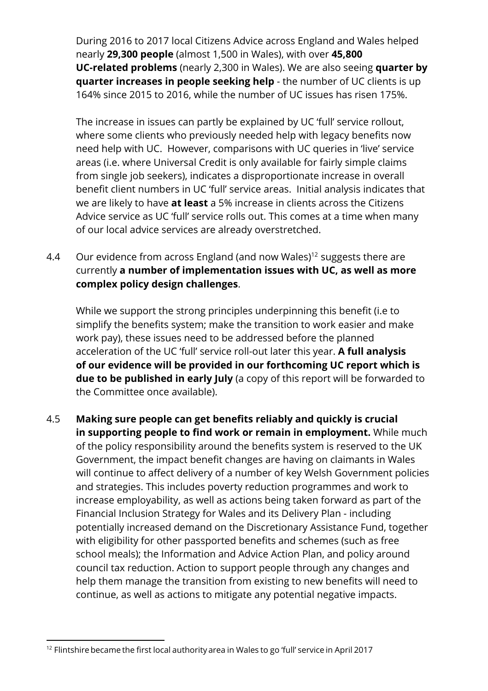During 2016 to 2017 local Citizens Advice across England and Wales helped nearly **29,300 people** (almost 1,500 in Wales), with over **45,800 UC-related problems** (nearly 2,300 in Wales). We are also seeing **quarter by quarter increases in people seeking help** - the number of UC clients is up 164% since 2015 to 2016, while the number of UC issues has risen 175%.

The increase in issues can partly be explained by UC 'full' service rollout, where some clients who previously needed help with legacy benefits now need help with UC. However, comparisons with UC queries in 'live' service areas (i.e. where Universal Credit is only available for fairly simple claims from single job seekers), indicates a disproportionate increase in overall benefit client numbers in UC 'full' service areas. Initial analysis indicates that we are likely to have **at least** a 5% increase in clients across the Citizens Advice service as UC 'full' service rolls out. This comes at a time when many of our local advice services are already overstretched.

4.4 Our evidence from across England (and now Wales)<sup>12</sup> suggests there are currently **a number of implementation issues with UC, as well as more complex policy design challenges** .

While we support the strong principles underpinning this benefit (i.e to simplify the benefits system; make the transition to work easier and make work pay), these issues need to be addressed before the planned acceleration of the UC 'full' service roll-out later this year. **A full analysis of our evidence will be provided in our forthcoming UC report which is due to be published in early July** (a copy of this report will be forwarded to the Committee once available).

4.5 **Making sure people can get benets reliably and quickly is crucial in supporting people to find work or remain in employment.** While much of the policy responsibility around the benefits system is reserved to the UK Government, the impact benefit changes are having on claimants in Wales will continue to affect delivery of a number of key Welsh Government policies and strategies. This includes poverty reduction programmes and work to increase employability, as well as actions being taken forward as part of the Financial Inclusion Strategy for Wales and its Delivery Plan - including potentially increased demand on the Discretionary Assistance Fund, together with eligibility for other passported benefits and schemes (such as free school meals); the Information and Advice Action Plan, and policy around council tax reduction. Action to support people through any changes and help them manage the transition from existing to new benefits will need to continue, as well as actions to mitigate any potential negative impacts.

 $^{12}$  Flintshire became the first local authority area in Wales to go 'full' service in April 2017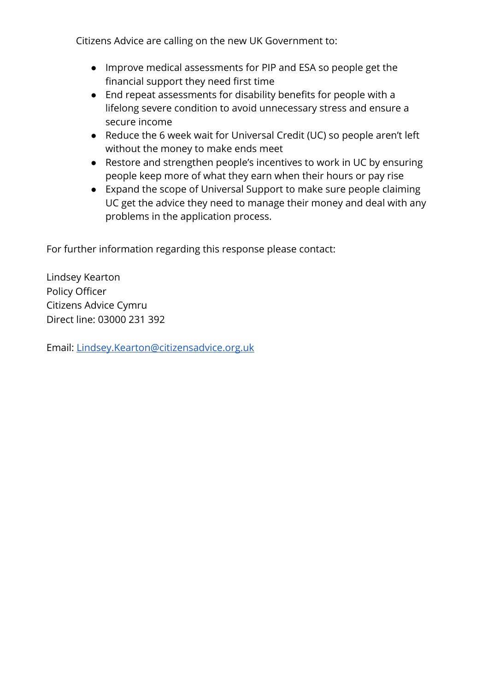Citizens Advice are calling on the new UK Government to:

- Improve medical assessments for PIP and ESA so people get the financial support they need first time
- $\bullet$  End repeat assessments for disability benefits for people with a lifelong severe condition to avoid unnecessary stress and ensure a secure income
- Reduce the 6 week wait for Universal Credit (UC) so people aren't left without the money to make ends meet
- Restore and strengthen people's incentives to work in UC by ensuring people keep more of what they earn when their hours or pay rise
- Expand the scope of Universal Support to make sure people claiming UC get the advice they need to manage their money and deal with any problems in the application process.

For further information regarding this response please contact:

Lindsey Kearton Policy Officer Citizens Advice Cymru Direct line: 03000 231 392

Email: [Lindsey.Kearton@citizensadvice.org.uk](mailto:Lindsey.Kearton@citizensadvice.org.uk)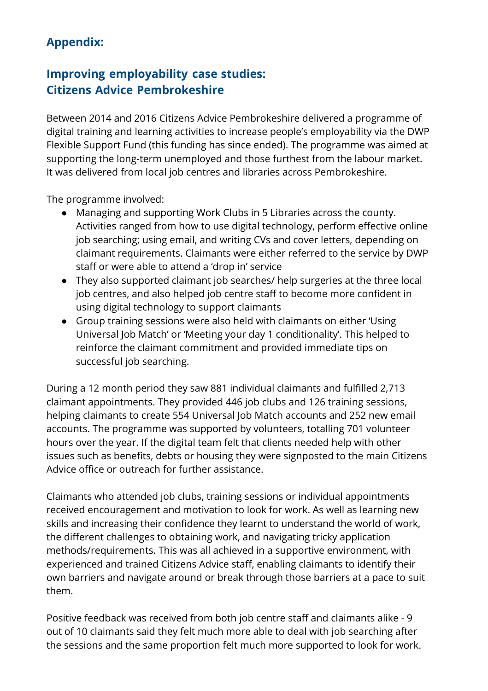# **Appendix:**

### **Improving employability case studies: Citizens Advice Pembrokeshire**

Between 2014 and 2016 Citizens Advice Pembrokeshire delivered a programme of digital training and learning activities to increase people's employability via the DWP Flexible Support Fund (this funding has since ended). The programme was aimed at supporting the long-term unemployed and those furthest from the labour market. It was delivered from local job centres and libraries across Pembrokeshire.

The programme involved:

- Managing and supporting Work Clubs in 5 Libraries across the county. Activities ranged from how to use digital technology, perform effective online job searching; using email, and writing CVs and cover letters, depending on claimant requirements. Claimants were either referred to the service by DWP staff or were able to attend a 'drop in' service
- They also supported claimant job searches/ help surgeries at the three local job centres, and also helped job centre staff to become more confident in using digital technology to support claimants
- Group training sessions were also held with claimants on either 'Using Universal Job Match' or 'Meeting your day 1 conditionality'. This helped to reinforce the claimant commitment and provided immediate tips on successful job searching.

During a 12 month period they saw 881 individual claimants and fullled 2,713 claimant appointments. They provided 446 job clubs and 126 training sessions, helping claimants to create 554 Universal Job Match accounts and 252 new email accounts. The programme was supported by volunteers, totalling 701 volunteer hours over the year. If the digital team felt that clients needed help with other issues such as benefits, debts or housing they were signposted to the main Citizens Advice office or outreach for further assistance.

Claimants who attended job clubs, training sessions or individual appointments received encouragement and motivation to look for work. As well as learning new skills and increasing their confidence they learnt to understand the world of work, the different challenges to obtaining work, and navigating tricky application methods/requirements. This was all achieved in a supportive environment, with experienced and trained Citizens Advice staff, enabling claimants to identify their own barriers and navigate around or break through those barriers at a pace to suit them.

Positive feedback was received from both job centre staff and claimants alike - 9 out of 10 claimants said they felt much more able to deal with job searching after the sessions and the same proportion felt much more supported to look for work.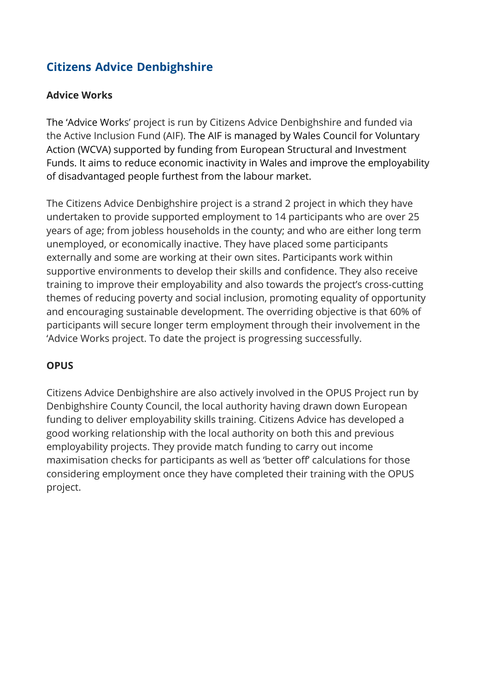### **Citizens Advice Denbighshire**

#### **Advice Works**

The 'Advice Works' project is run by Citizens Advice Denbighshire and funded via the Active Inclusion Fund (AIF). The AIF is managed by Wales Council for Voluntary Action (WCVA) supported by funding from European Structural and Investment Funds. It aims to reduce economic inactivity in Wales and improve the employability of disadvantaged people furthest from the labour market.

The Citizens Advice Denbighshire project is a strand 2 project in which they have undertaken to provide supported employment to 14 participants who are over 25 years of age; from jobless households in the county; and who are either long term unemployed, or economically inactive. They have placed some participants externally and some are working at their own sites. Participants work within supportive environments to develop their skills and confidence. They also receive training to improve their employability and also towards the project's cross-cutting themes of reducing poverty and social inclusion, promoting equality of opportunity and encouraging sustainable development. The overriding objective is that 60% of participants will secure longer term employment through their involvement in the 'Advice Works project. To date the project is progressing successfully.

#### **OPUS**

Citizens Advice Denbighshire are also actively involved in the OPUS Project run by Denbighshire County Council, the local authority having drawn down European funding to deliver employability skills training. Citizens Advice has developed a good working relationship with the local authority on both this and previous employability projects. They provide match funding to carry out income maximisation checks for participants as well as 'better off' calculations for those considering employment once they have completed their training with the OPUS project.